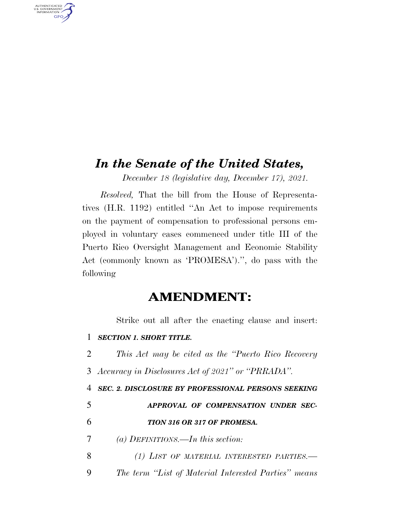## *In the Senate of the United States,*

*December 18 (legislative day, December 17), 2021.* 

*Resolved,* That the bill from the House of Representatives (H.R. 1192) entitled ''An Act to impose requirements on the payment of compensation to professional persons employed in voluntary cases commenced under title III of the Puerto Rico Oversight Management and Economic Stability Act (commonly known as 'PROMESA').'', do pass with the following

## **AMENDMENT:**

Strike out all after the enacting clause and insert:

|  |  | 1 SECTION 1. SHORT TITLE. |
|--|--|---------------------------|
|--|--|---------------------------|

AUTHENTICATED<br>U.S. GOVERNMENT<br>INFORMATION **GPO** 

> 2 *This Act may be cited as the ''Puerto Rico Recovery*  3 *Accuracy in Disclosures Act of 2021'' or ''PRRADA''.*

> *SEC. 2. DISCLOSURE BY PROFESSIONAL PERSONS SEEKING APPROVAL OF COMPENSATION UNDER SEC- TION 316 OR 317 OF PROMESA. (a) DEFINITIONS.—In this section: (1) LIST OF MATERIAL INTERESTED PARTIES.—*

> 9 *The term ''List of Material Interested Parties'' means*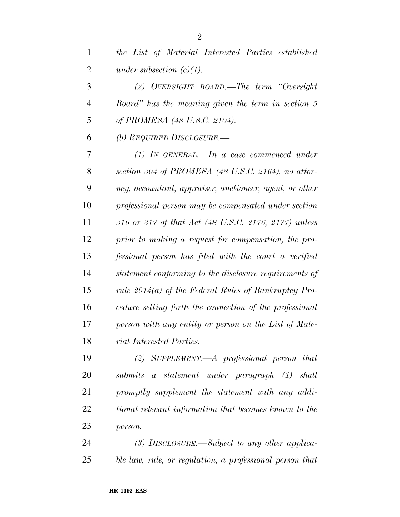| $\mathbf{1}$ | the List of Material Interested Parties established            |
|--------------|----------------------------------------------------------------|
| 2            | under subsection $(c)(1)$ .                                    |
| 3            | (2) OVERSIGHT BOARD.—The term "Oversight                       |
| 4            | Board" has the meaning given the term in section 5             |
| 5            | of PROMESA (48 U.S.C. 2104).                                   |
| 6            | (b) REQUIRED DISCLOSURE.—                                      |
| 7            | $(1)$ IN GENERAL.—In a case commenced under                    |
| 8            | section 304 of PROMESA $(48 \text{ U.S.C. } 2164)$ , no attor- |
| 9            | ney, accountant, appraiser, auctioneer, agent, or other        |
| 10           | professional person may be compensated under section           |
| 11           | 316 or 317 of that Act (48 U.S.C. 2176, 2177) unless           |
| 12           | prior to making a request for compensation, the pro-           |
| 13           | fessional person has filed with the court a verified           |
| 14           | statement conforming to the disclosure requirements of         |
| 15           | rule $2014(a)$ of the Federal Rules of Bankruptcy Pro-         |
| 16           | cedure setting forth the connection of the professional        |
| 17           | person with any entity or person on the List of Mate-          |
| 18           | rial Interested Parties.                                       |
| 19           | (2) SUPPLEMENT.—A professional person that                     |
| 20           | submits a statement under paragraph (1) shall                  |
| 21           | promptly supplement the statement with any addi-               |
| 22           | tional relevant information that becomes known to the          |
| 23           | person.                                                        |
| 24           | $(3)$ DISCLOSURE.—Subject to any other applica-                |
| 25           | ble law, rule, or regulation, a professional person that       |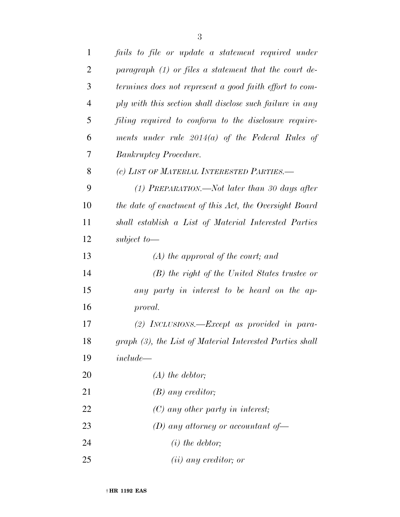| $\mathbf{1}$   | fails to file or update a statement required under       |
|----------------|----------------------------------------------------------|
| $\overline{2}$ | paragraph $(1)$ or files a statement that the court de-  |
| 3              | termines does not represent a good faith effort to com-  |
| $\overline{4}$ | ply with this section shall disclose such failure in any |
| 5              | filing required to conform to the disclosure require-    |
| 6              | ments under rule $2014(a)$ of the Federal Rules of       |
| 7              | <b>Bankruptcy Procedure.</b>                             |
| 8              | (c) LIST OF MATERIAL INTERESTED PARTIES.-                |
| 9              | $(1)$ PREPARATION.—Not later than 30 days after          |
| 10             | the date of enactment of this Act, the Oversight Board   |
| 11             | shall establish a List of Material Interested Parties    |
| 12             | subject to $-$                                           |
| 13             | $(A)$ the approval of the court; and                     |
| 14             | (B) the right of the United States trustee or            |
| 15             | any party in interest to be heard on the ap-             |
| 16             | proval.                                                  |
| 17             | (2) INCLUSIONS.— $Except$ as provided in para-           |
| 18             | graph (3), the List of Material Interested Parties shall |
| 19             | $include -$                                              |
| 20             | $(A)$ the debtor;                                        |
| 21             | $(B)$ any creditor;                                      |
| 22             | $(C)$ any other party in interest;                       |
| 23             | (D) any attorney or accountant of $-$                    |
| 24             | $(i)$ the debtor;                                        |
| 25             | $(ii)$ any creditor; or                                  |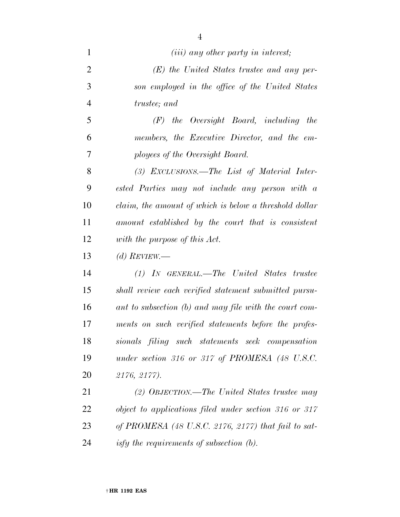| $\mathbf{1}$    | $(iii)$ any other party in interest;                                                                                                                                                                                                                                                  |
|-----------------|---------------------------------------------------------------------------------------------------------------------------------------------------------------------------------------------------------------------------------------------------------------------------------------|
| $\overline{2}$  | $(E)$ the United States trustee and any per-                                                                                                                                                                                                                                          |
| 3               | son employed in the office of the United States                                                                                                                                                                                                                                       |
| $\overline{4}$  | <i>trustee</i> ; and                                                                                                                                                                                                                                                                  |
| 5               | $(F)$ the Oversight Board, including the                                                                                                                                                                                                                                              |
| 6               | members, the Executive Director, and the em-                                                                                                                                                                                                                                          |
| 7               | ployees of the Oversight Board.                                                                                                                                                                                                                                                       |
| 8               | (3) EXCLUSIONS.—The List of Material Inter-                                                                                                                                                                                                                                           |
| 9               | ested Parties may not include any person with a                                                                                                                                                                                                                                       |
| 10              | claim, the amount of which is below a threshold dollar                                                                                                                                                                                                                                |
| 11              | amount established by the court that is consistent                                                                                                                                                                                                                                    |
| 12              | with the purpose of this Act.                                                                                                                                                                                                                                                         |
| 13              | (d) REVIEW.—                                                                                                                                                                                                                                                                          |
| 14              | $(1)$ IN GENERAL.—The United States trustee                                                                                                                                                                                                                                           |
| 15              | shall review each verified statement submitted pursu-                                                                                                                                                                                                                                 |
| 16              | ant to subsection (b) and may file with the court com-                                                                                                                                                                                                                                |
| 17              | ments on such verified statements before the profes-                                                                                                                                                                                                                                  |
| 18              | sionals filing such statements seek compensation                                                                                                                                                                                                                                      |
| 19              | under section 316 or 317 of PROMESA $(48 \text{ U.S. C.})$                                                                                                                                                                                                                            |
| 20              | 2176, 2177).                                                                                                                                                                                                                                                                          |
| 21              | (2) OBJECTION.—The United States trustee may                                                                                                                                                                                                                                          |
| 22              | object to applications filed under section 316 or 317                                                                                                                                                                                                                                 |
| 23              | of PROMESA $(48 \text{ U.S. C. } 2176, 2177)$ that fail to sat-                                                                                                                                                                                                                       |
| $\mathcal{L}$ 1 | $if_1, f_2, g_2, g_3, g_4, g_5, g_6, f_7, g_7, g_8, g_1, g_2, g_3, g_4, g_7, g_8, g_9, g_1, g_2, g_3, g_4, g_6, g_7, g_8, g_9, g_1, g_2, g_3, g_4, g_6, g_7, g_8, g_9, g_1, g_2, g_3, g_4, g_6, g_7, g_8, g_9, g_1, g_2, g_3, g_4, g_6, g_7, g_8, g_9, g_1, g_2, g_3, g_4, g_6, g_1,$ |

*isfy the requirements of subsection (b).*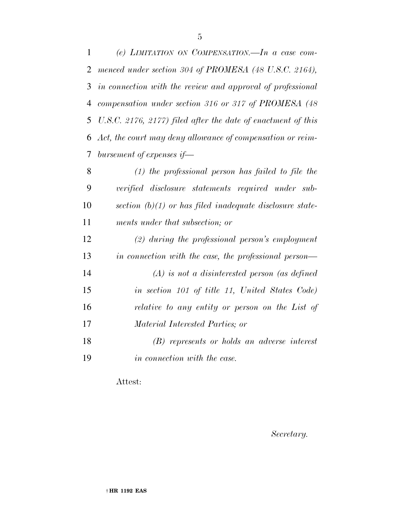*(e) LIMITATION ON COMPENSATION.—In a case com- menced under section 304 of PROMESA (48 U.S.C. 2164), in connection with the review and approval of professional compensation under section 316 or 317 of PROMESA (48 U.S.C. 2176, 2177) filed after the date of enactment of this Act, the court may deny allowance of compensation or reim-bursement of expenses if—* 

 *(1) the professional person has failed to file the verified disclosure statements required under sub- section (b)(1) or has filed inadequate disclosure state-ments under that subsection; or* 

 *(2) during the professional person's employment in connection with the case, the professional person— (A) is not a disinterested person (as defined in section 101 of title 11, United States Code) relative to any entity or person on the List of Material Interested Parties; or* 

 *(B) represents or holds an adverse interest in connection with the case.* 

Attest:

*Secretary.*